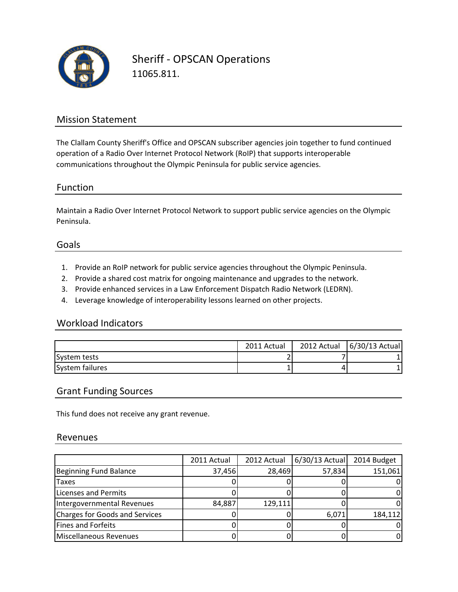

Sheriff - OPSCAN Operations 11065.811.

## Mission Statement

The Clallam County Sheriff's Office and OPSCAN subscriber agencies join together to fund continued operation of a Radio Over Internet Protocol Network (RoIP) that supports interoperable communications throughout the Olympic Peninsula for public service agencies.

## Function

Maintain a Radio Over Internet Protocol Network to support public service agencies on the Olympic Peninsula.

### Goals

- 1. Provide an RoIP network for public service agencies throughout the Olympic Peninsula.
- 2. Provide a shared cost matrix for ongoing maintenance and upgrades to the network.
- 3. Provide enhanced services in a Law Enforcement Dispatch Radio Network (LEDRN).
- 4. Leverage knowledge of interoperability lessons learned on other projects.

### Workload Indicators

|                 | 2011 Actual | 2012 Actual 6/30/13 Actual |
|-----------------|-------------|----------------------------|
| System tests    |             |                            |
| System failures |             |                            |

## Grant Funding Sources

This fund does not receive any grant revenue.

### Revenues

|                                | 2011 Actual | 2012 Actual | 6/30/13 Actual | 2014 Budget |
|--------------------------------|-------------|-------------|----------------|-------------|
| Beginning Fund Balance         | 37,456      | 28,469      | 57,834         | 151,061     |
| <b>Taxes</b>                   |             |             |                |             |
| Licenses and Permits           |             |             |                |             |
| Intergovernmental Revenues     | 84,887      | 129,111     |                |             |
| Charges for Goods and Services |             |             | 6,071          | 184,112     |
| Fines and Forfeits             |             |             |                |             |
| Miscellaneous Revenues         |             |             |                |             |